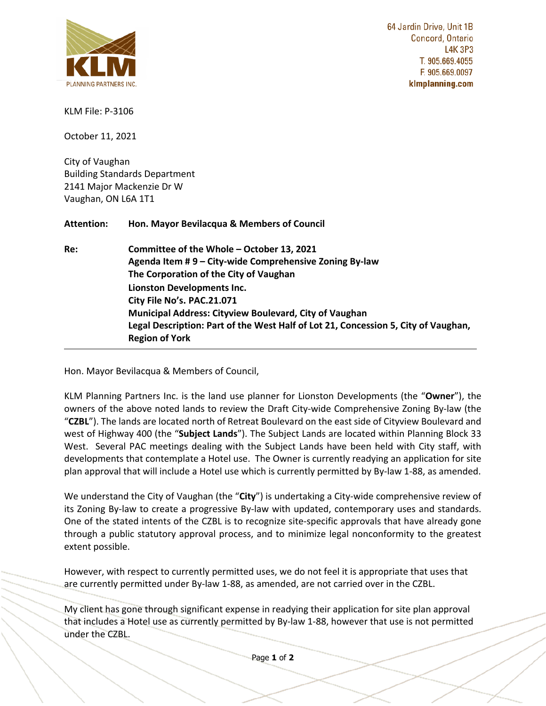

**COMMUNICATION C23 ITEM NO. 9 COMMITTEE OF THE WHOLE (2) October 13, 2021**

64 Jardin Drive, Unit 1B Concord, Ontario **L4K 3P3** T. 905.669.4055 F. 905.669.0097 klmplanning.com

KLM File: P-3106

October 11, 2021

City of Vaughan Building Standards Department 2141 Major Mackenzie Dr W Vaughan, ON L6A 1T1

**Attention: Hon. Mayor Bevilacqua & Members of Council** 

**Re: Committee of the Whole – October 13, 2021 Agenda Item # 9 – City-wide Comprehensive Zoning By-law The Corporation of the City of Vaughan Lionston Developments Inc. City File No's. PAC.21.071 Municipal Address: Cityview Boulevard, City of Vaughan Legal Description: Part of the West Half of Lot 21, Concession 5, City of Vaughan, Region of York**

Hon. Mayor Bevilacqua & Members of Council,

KLM Planning Partners Inc. is the land use planner for Lionston Developments (the "**Owner**"), the owners of the above noted lands to review the Draft City-wide Comprehensive Zoning By-law (the "**CZBL**"). The lands are located north of Retreat Boulevard on the east side of Cityview Boulevard and west of Highway 400 (the "**Subject Lands**"). The Subject Lands are located within Planning Block 33 West. Several PAC meetings dealing with the Subject Lands have been held with City staff, with developments that contemplate a Hotel use. The Owner is currently readying an application for site plan approval that will include a Hotel use which is currently permitted by By-law 1-88, as amended.

We understand the City of Vaughan (the "**City**") is undertaking a City-wide comprehensive review of its Zoning By-law to create a progressive By-law with updated, contemporary uses and standards. One of the stated intents of the CZBL is to recognize site-specific approvals that have already gone through a public statutory approval process, and to minimize legal nonconformity to the greatest extent possible.

However, with respect to currently permitted uses, we do not feel it is appropriate that uses that are currently permitted under By-law 1-88, as amended, are not carried over in the CZBL.

My client has gone through significant expense in readying their application for site plan approval that includes a Hotel use as currently permitted by By-law 1-88, however that use is not permitted under the CZBL.